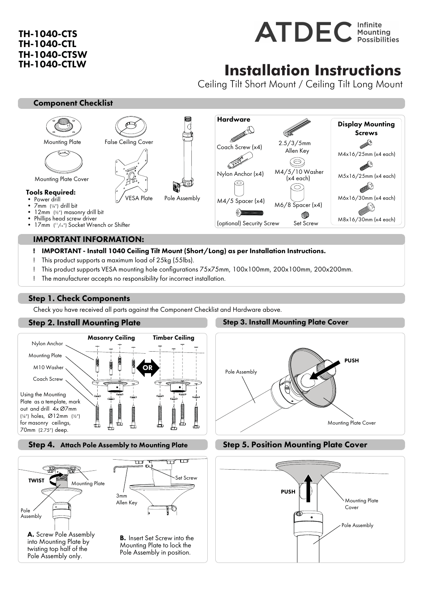# TH-1040-CTS TH-1040-CTL TH-1040-CTSW TH-1040-CTLW



# **Installation Instructions**

Ceiling Tilt Short Mount / Ceiling Tilt Long Mount

### Component Checklist



#### IMPORTANT INFORMATION:

### ! IMPORTANT - Install 1040 Ceiling Tilt Mount (Short/Long) as per Installation Instructions.

- ! This product supports a maximum load of 25kg (55lbs).
- ! This product supports VESA mounting hole configurations 75x75mm, 100x100mm, 200x100mm, 200x200mm.
- ! The manufacturer accepts no responsibility for incorrect installation.

# Step 1. Check Components

Check you have received all parts against the Component Checklist and Hardware above.

# Step 2. Install Mounting Plate



### Step 4. Attach Pole Assembly to Mounting Plate



### Step 3. Install Mounting Plate Cover



## Step 5. Position Mounting Plate Cover